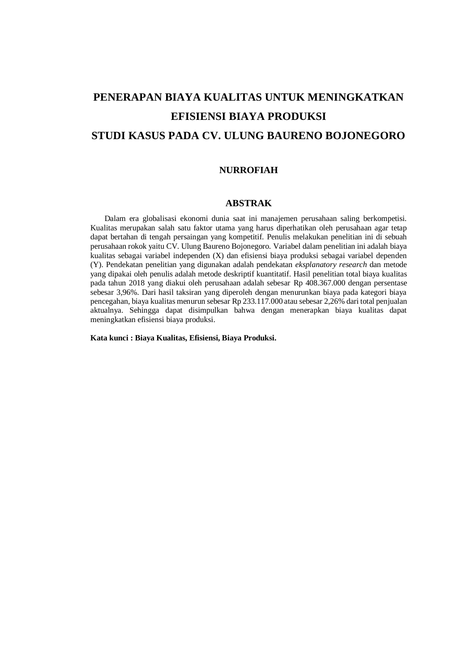# **PENERAPAN BIAYA KUALITAS UNTUK MENINGKATKAN EFISIENSI BIAYA PRODUKSI STUDI KASUS PADA CV. ULUNG BAURENO BOJONEGORO**

### **NURROFIAH**

#### **ABSTRAK**

 Dalam era globalisasi ekonomi dunia saat ini manajemen perusahaan saling berkompetisi. Kualitas merupakan salah satu faktor utama yang harus diperhatikan oleh perusahaan agar tetap dapat bertahan di tengah persaingan yang kompetitif. Penulis melakukan penelitian ini di sebuah perusahaan rokok yaitu CV. Ulung Baureno Bojonegoro. Variabel dalam penelitian ini adalah biaya kualitas sebagai variabel independen (X) dan efisiensi biaya produksi sebagai variabel dependen (Y). Pendekatan penelitian yang digunakan adalah pendekatan *eksplanatory research* dan metode yang dipakai oleh penulis adalah metode deskriptif kuantitatif. Hasil penelitian total biaya kualitas pada tahun 2018 yang diakui oleh perusahaan adalah sebesar Rp 408.367.000 dengan persentase sebesar 3,96%. Dari hasil taksiran yang diperoleh dengan menurunkan biaya pada kategori biaya pencegahan, biaya kualitas menurun sebesar Rp 233.117.000 atau sebesar 2,26% dari total penjualan aktualnya. Sehingga dapat disimpulkan bahwa dengan menerapkan biaya kualitas dapat meningkatkan efisiensi biaya produksi.

**Kata kunci : Biaya Kualitas, Efisiensi, Biaya Produksi.**